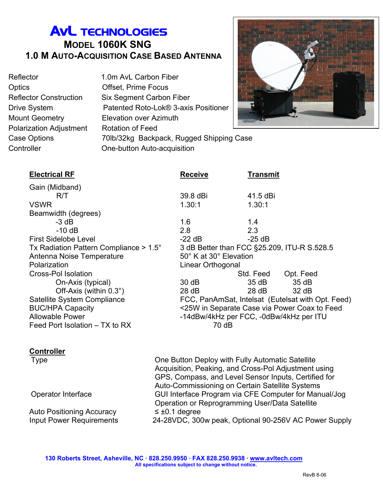## AvL TECHNOLOGIES **MODEL 1060K SNG 1.0 M AUTO-ACQUISITION CASE BASED ANTENNA**

Reflector 1.0m AvL Carbon Fiber Optics Offset, Prime Focus Mount Geometry Elevation over Azimuth Polarization Adjustment Rotation of Feed

Reflector Construction Six Segment Carbon Fiber Drive System Patented Roto-Lok® 3-axis Positioner Case Options 70lb/32kg Backpack, Rugged Shipping Case Controller One-button Auto-acquisition



| <b>Electrical RF</b>                            | <b>Receive</b>         | <b>Transmit</b>                                   |
|-------------------------------------------------|------------------------|---------------------------------------------------|
| Gain (Midband)                                  |                        |                                                   |
| R/T                                             | 39.8 dBi               | 41.5 dBi                                          |
| <b>VSWR</b>                                     | 1.30:1                 | 1.30:1                                            |
| Beamwidth (degrees)                             |                        |                                                   |
| $-3$ dB                                         | 1.6                    | 1.4                                               |
| $-10$ dB                                        | 2.8                    | 2.3                                               |
| <b>First Sidelobe Level</b>                     | $-22$ dB               | $-25$ dB                                          |
| Tx Radiation Pattern Compliance $> 1.5^{\circ}$ |                        | 3 dB Better than FCC §25.209, ITU-R S.528.5       |
| Antenna Noise Temperature                       | 50° K at 30° Elevation |                                                   |
| Polarization                                    | Linear Orthogonal      |                                                   |
| <b>Cross-Pol Isolation</b>                      |                        | Std. Feed<br>Opt. Feed                            |
| On-Axis (typical)                               | 30dB                   | 35 dB<br>35dB                                     |
| Off-Axis (within $0.3^{\circ}$ )                | $28$ dB                | 28 dB<br>32 dB                                    |
| Satellite System Compliance                     |                        | FCC, PanAmSat, Intelsat (Eutelsat with Opt. Feed) |
| <b>BUC/HPA Capacity</b>                         |                        | <25W in Separate Case via Power Coax to Feed      |
| <b>Allowable Power</b>                          |                        | -14dBw/4kHz per FCC, -0dBw/4kHz per ITU           |
| Feed Port Isolation – TX to RX                  | 70 dB                  |                                                   |

#### **Controller**

Type One Button Deploy with Fully Automatic Satellite Acquisition, Peaking, and Cross-Pol Adjustment using GPS, Compass, and Level Sensor Inputs, Certified for Auto-Commissioning on Certain Satellite Systems Operator Interface GUI Interface Program via CFE Computer for Manual/Jog Operation or Reprogramming User/Data Satellite Auto Positioning Accuracy  $\leq \pm 0.1$  degree Input Power Requirements 24-28VDC, 300w peak, Optional 90-256V AC Power Supply